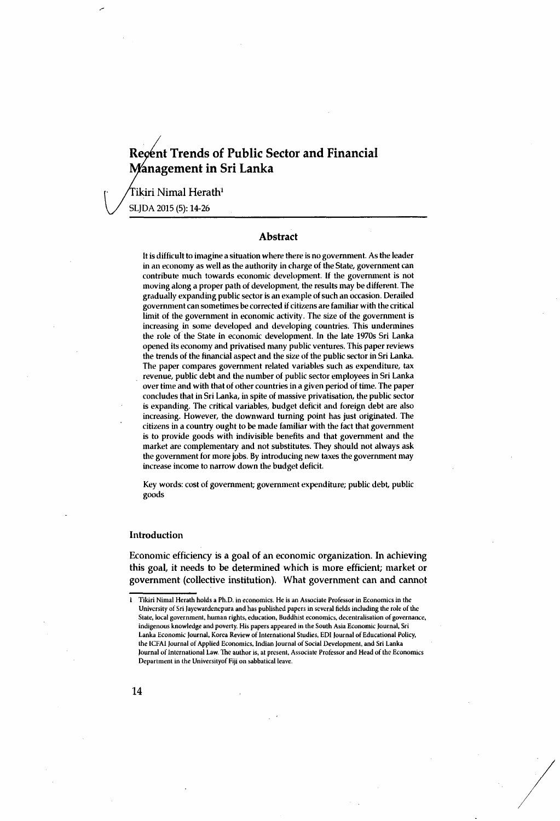**Tikiri Nimal Herath**1 SLJDA 2015 (5): 14-26

# **Abstract**

It is difficult to imagine a situation where there is no government. As the leader in an economy as well as the authority in charge of the State, government can contribute much towards economic development. If the government is not moving along a proper path of development, the results may be different. The gradually expanding public sector is an example of such an occasion. Derailed government can sometimes be corrected if citizens are familiar with the critical limit of the government in economic activity. The size of the government is increasing in some developed and developing countries. This undermines the role of the State in economic development. In the late 1970s Sri Lanka opened its economy and privatised many public ventures. This paper reviews the trends of the financial aspect and the size of the public sector in Sri Lanka. The paper compares government related variables such as expenditure, tax revenue, public debt and the number of public sector employees in Sri Lanka over time and with that of other countries in a given period of time. The paper concludes that in Sri Lanka, in spite of massive privatisation, the public sector is expanding. The critical variables, budget deficit and foreign debt are also increasing. However, the downward turning point has just originated. The citizens in a country ought to be made familiar with the fact that government is to provide goods with indivisible benefits and that government and the market are complementary and not substitutes. They should not always ask the government for more jobs. By introducing new taxes the government may increase income to narrow down the budget deficit.

Key words: cost of government; government expenditure; public debt, public goods

### Introduction

Economic efficiency is a goal of an economic organization. In achieving this goal, it needs to be determined which is more efficient; market or government (collective institution). What government can and cannot

<sup>1</sup> Tikiri Nimal Herath holds a Ph.D. in economics. He is an Associate Professor in Economics in the University of Sri Jaycwardcncpura and has published papers in several fields including the role of the State, local government, human rights, education, Buddhist economics, decentralisation of governance, indigenous knowledge and poverty. His papers appeared in the South Asia Economic Journal, Sri Lanka Economic Journal, Korea Review of International Studies, EDI Journal of Educational Policy, the ICFA1 Journal of Applied Economics, Indian Journal of Social Development, and Sri Lanka Journal of International Law. The author is, at present, Associate Professor and Head of the Economics Department in the Universityof Fiji on sabbatical leave.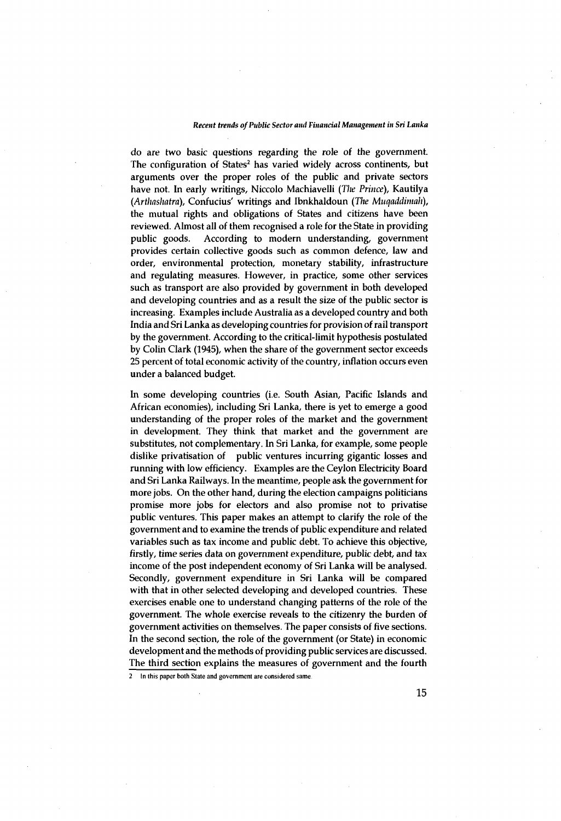do are two basic questions regarding the role of the government. The configuration of States<sup>2</sup> has varied widely across continents, but argum ents over the proper roles of the public and private sectors have not. In early writings, Niccolo Machiavelli *(The Prince),* Kautilya *(Arthashatra),* Confucius' writings and Ibnkhaldoun *(The Muqaddimah),* the mutual rights and obligations of States and citizens have been reviewed. Almost all of them recognised a role for the State in providing public goods. According to modern understanding, government provides certain collective goods such as common defence, law and order, environmental protection, monetary stability, infrastructure and regulating measures. However, in practice, some other services such as transport are also provided by government in both developed and developing countries and as a result the size of the public sector is increasing. Examples include Australia as a developed country and both India and Sri Lanka as developing countries for provision of rail transport by the government. According to the critical-limit hypothesis postulated by Colin Clark (1945), when the share of the government sector exceeds 25 percent of total economic activity of the country, inflation occurs even under a balanced budget.

In some developing countries (i.e. South Asian, Pacific Islands and African economies), including Sri Lanka, there is yet to emerge a good understanding of the proper roles of the market and the government in development. They think that market and the government are substitutes, not complementary. In Sri Lanka, for example, some people dislike privatisation of public ventures incurring gigantic losses and running with low efficiency. Examples are the Ceylon Electricity Board and Sri Lanka Railways. In the meantime, people ask the government for more jobs. On the other hand, during the election campaigns politicians promise more jobs for electors and also promise not to privatise public ventures. This paper makes an attempt to clarify the role of the government and to examine the trends of public expenditure and related variables such as tax income and public debt. To achieve this objective, firstly, time series data on government expenditure, public debt, and tax income of the post independent economy of Sri Lanka will be analysed. Secondly, government expenditure in Sri Lanka will be compared with that in other selected developing and developed countries. These exercises enable one to understand changing patterns of the role of the government. The whole exercise reveals to the citizenry the burden of government activities on themselves. The paper consists of five sections. In the second section, the role of the government (or State) in economic development and the methods of providing public services are discussed. The third section explains the measures of government and the fourth

<sup>2</sup> In this paper both State and government are considered same.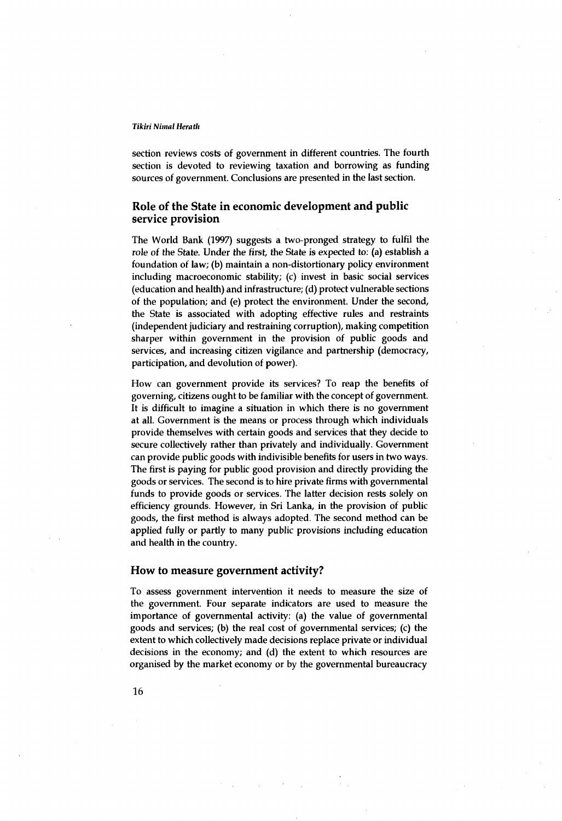section reviews costs of government in different countries. The fourth section is devoted to reviewing taxation and borrowing as funding sources of government. Conclusions are presented in the last section.

# **Role of the State in economic development and public service provision**

The World Bank (1997) suggests a two-pronged strategy to fulfil the role of the State. Under the first, the State is expected to: (a) establish a foundation of law; (b) maintain a non-distortionary policy environment including macroeconomic stability; (c) invest in basic social services (education and health) and infrastructure; (d) protect vulnerable sections of the population; and (e) protect the environment. Under the second, the State is associated with adopting effective rules and restraints (independent judiciary and restraining corruption), making competition sharper within government in the provision of public goods and services, and increasing citizen vigilance and partnership (democracy, participation, and devolution of power).

How can government provide its services? To reap the benefits of governing, citizens ought to be familiar with the concept of government. It is difficult to imagine a situation in which there is no government at all. Government is the means or process through which individuals provide themselves with certain goods and services that they decide to secure collectively rather than privately and individually. Government can provide public goods with indivisible benefits for users in two ways. The first is paying for public good provision and directly providing the goods or services. The second is to hire private firms with governmental funds to provide goods or services. The latter decision rests solely on efficiency grounds. However, in Sri Lanka, in the provision of public goods, the first method is always adopted. The second method can be applied fully or partly to many public provisions including education and health in the country.

# How to measure government activity?

To assess government intervention it needs to measure the size of the government. Four separate indicators are used to measure the importance of governmental activity: (a) the value of governmental goods and services; (b) the real cost of governmental services; (c) the extent to which collectively m ade decisions replace private or individual decisions in the economy; and (d) the extent to which resources are organised by the market economy or by the governmental bureaucracy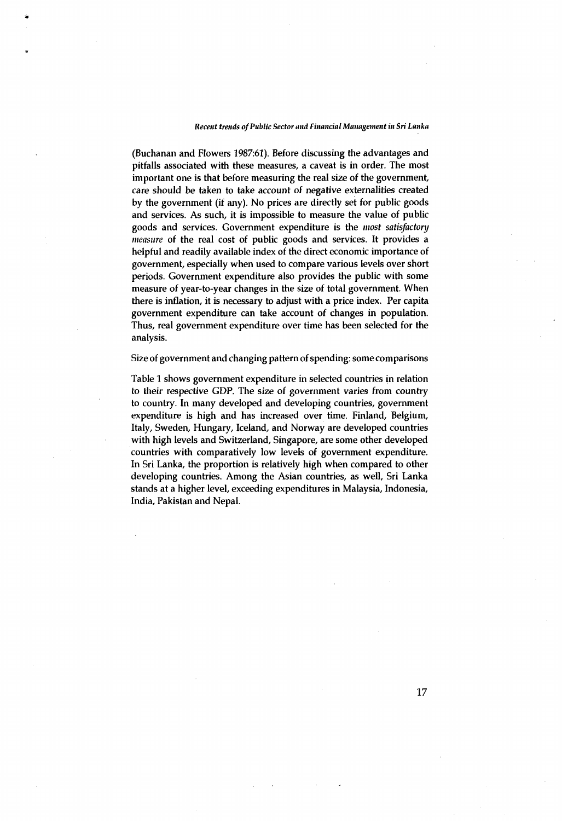(Buchanan and Flowers 1987:61). Before discussing the advantages and pitfalls associated with these measures, a caveat is in order. The most important one is that before measuring the real size of the government, care should be taken to take account of negative externalities created by the government (if any). No prices are directly set for public goods and services. As such, it is impossible to measure the value of public goods and services. Government expenditure is the *most satisfactory measure* of the real cost of public goods and services. It provides a helpful and readily available index of the direct economic importance of government, especially when used to compare various levels over short periods. Government expenditure also provides the public with some measure of year-to-year changes in the size of total government. When there is inflation, it is necessary to adjust with a price index. Per capita government expenditure can take account of changes in population. Thus, real government expenditure over time has been selected for the analysis.

# Size of government and changing pattern of spending: some comparisons

Table 1 shows government expenditure in selected countries in relation to their respective GDP. The size of government varies from country to country. In many developed and developing countries, government expenditure is high and has increased over time. Finland, Belgium, Italy, Sweden, Hungary, Iceland, and Norway are developed countries with high levels and Switzerland, Singapore, are some other developed countries with comparatively low levels of government expenditure. In Sri Lanka, the proportion is relatively high when compared to other developing countries. Among the Asian countries, as well, Sri Lanka stands at a higher level, exceeding expenditures in Malaysia, Indonesia, India, Pakistan and Nepal.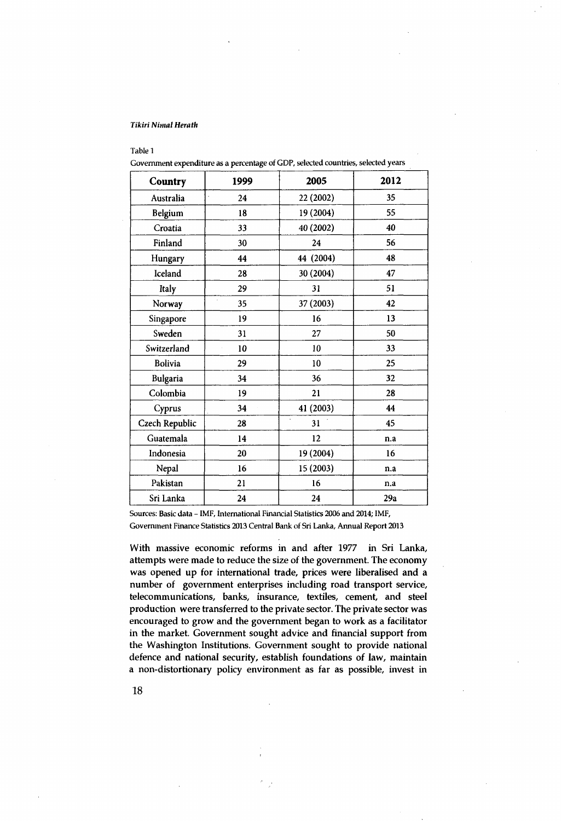#### Table 1

| Country         | 1999 | 2005      | 2012 |  |
|-----------------|------|-----------|------|--|
| Australia       | 24   | 22 (2002) | 35   |  |
| <b>Belgium</b>  | 18   | 19 (2004) | 55   |  |
| Croatia         | 33   | 40 (2002) | 40   |  |
| Finland         | 30   | 24        | 56   |  |
| Hungary         | 44   | 44 (2004) | 48   |  |
| Iceland         | 28   | 30 (2004) | 47   |  |
| Italy           | 29   | 31        | 51   |  |
| Norway          | 35   | 37 (2003) | 42   |  |
| Singapore       | 19   | 16        | 13   |  |
| Sweden          | 31   | 27        | 50   |  |
| Switzerland     | 10   | 10        | 33   |  |
| <b>Bolivia</b>  | 29   | 10        | 25   |  |
| <b>Bulgaria</b> | 34   | 36        | 32   |  |
| Colombia        | 19   | 21        | 28   |  |
| Cyprus          | 34   | 41 (2003) | 44   |  |
| Czech Republic  | 28   | 31        | 45   |  |
| Guatemala       | 14   | 12        | n.a  |  |
| Indonesia       | 20   | 19 (2004) | 16   |  |
| Nepal           | 16   | 15 (2003) | n.a  |  |
| Pakistan        | 21   | 16        | n.a  |  |
| Sri Lanka       | 24   | 24        | 29a  |  |

Government expenditure as a percentage of GDP, selected countries, selected years

Sources: Basic data - IMF, International Financial Statistics 2006 and 2014; IMF, Government Finance Statistics 2013 Central Bank of Sri Lanka, Annual Report 2013

With massive economic reforms in and after 1977 in Sri Lanka, attempts were made to reduce the size of the government. The economy was opened up for international trade, prices were liberalised and a number of government enterprises including road transport service, telecommunications, banks, insurance, textiles, cement, and steel production were transferred to the private sector. The private sector was encouraged to grow and the government began to work as a facilitator in the market. Government sought advice and financial support from the Washington Institutions. Government sought to provide national defence and national security, establish foundations of law, maintain a non-distortionary policy environment as far as possible, invest in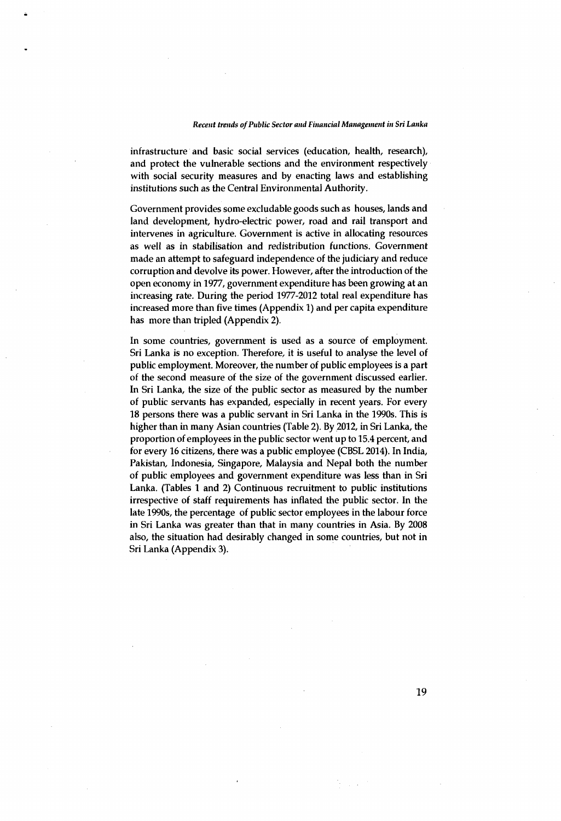infrastructure and basic social services (education, health, research), and protect the vulnerable sections and the environment respectively with social security measures and by enacting laws and establishing institutions such as the Central Environmental Authority.

Government provides some excludable goods such as houses, lands and land development, hydro-electric power, road and rail transport and intervenes in agriculture. Government is active in allocating resources as well as in stabilisation and redistribution functions. Government made an attempt to safeguard independence of the judiciary and reduce corruption and devolve its power. However, after the introduction of the open economy in 1977, government expenditure has been growing at an increasing rate. During the period 1977-2012 total real expenditure has increased more than five times (Appendix 1) and per capita expenditure has more than tripled (Appendix 2).

In some countries, government is used as a source of employment. Sri Lanka is no exception. Therefore, it is useful to analyse the level of public employment. Moreover, the number of public employees is a part of the second measure of the size of the government discussed earlier. In Sri Lanka, the size of the public sector as measured by the number of public servants has expanded, especially in recent years. For every 18 persons there was a public servant in Sri Lanka in the 1990s. This is higher than in many Asian countries (Table 2). By 2012, in Sri Lanka, the proportion of employees in the public sector went up to 15.4 percent, and for every 16 citizens, there was a public employee (CBSL 2014). In India, Pakistan, Indonesia, Singapore, Malaysia and Nepal both the number of public employees and government expenditure was less than in Sri Lanka. (Tables 1 and 2) Continuous recruitment to public institutions irrespective of staff requirements has inflated the public sector. In the late 1990s, the percentage of public sector employees in the labour force in Sri Lanka was greater than that in many countries in Asia. By 2008 also, the situation had desirably changed in some countries, but not in Sri Lanka (Appendix 3).

19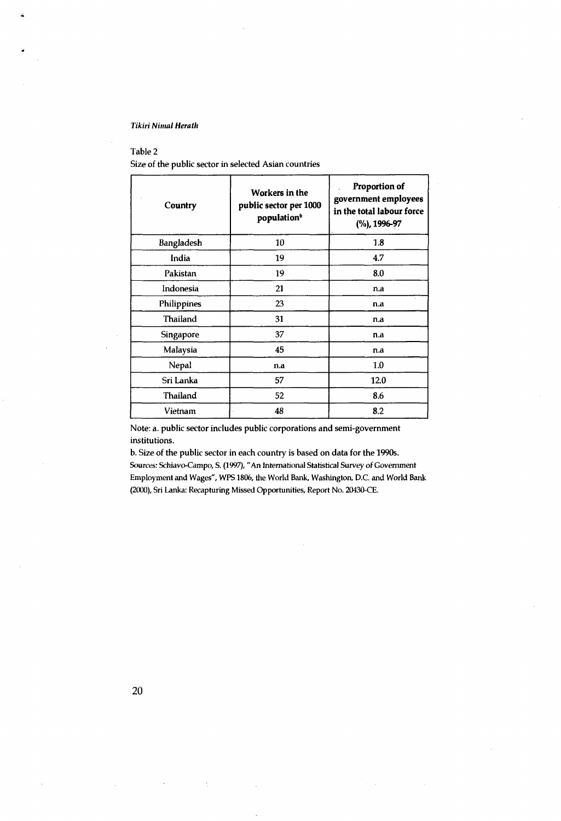# Table 2

Size of the public sector in selected Asian countries

| Country         | Workers in the<br>public sector per 1000<br>population <sup>b</sup> | Proportion of<br>government employees<br>in the total labour force<br>$(%)$ , 1996-97 |
|-----------------|---------------------------------------------------------------------|---------------------------------------------------------------------------------------|
| Bangladesh      | 10                                                                  | 1.8                                                                                   |
| India           | 19                                                                  | 4.7                                                                                   |
| Pakistan        | 19                                                                  | 8.0                                                                                   |
| Indonesia       | 21                                                                  | n.a                                                                                   |
| Philippines     | 23                                                                  | n.a                                                                                   |
| <b>Thailand</b> | 31                                                                  | n.a                                                                                   |
| Singapore       | 37                                                                  | n.a                                                                                   |
| Malaysia        | 45                                                                  | n.a                                                                                   |
| Nepal           | n.a                                                                 | 1.0                                                                                   |
| Sri Lanka       | 57                                                                  | 12.0                                                                                  |
| Thailand        | 52                                                                  | 8.6                                                                                   |
| Vietnam         | 48                                                                  | 8.2                                                                                   |

Note: a. public sector includes public corporations and semi-government institutions.

b. Size of the public sector in each country is based on data for the 1990s. Sources: Schiavo-Campo, S. (1997), "An International Statistical Survey of Government Employment and Wages", WPS 1806, the World Bank, Washington, D.C. and World Bank (2000), Sri Lanka: Recapturing Missed Opportunities, Report No. 20430-CE.

 $\ddot{\phantom{0}}$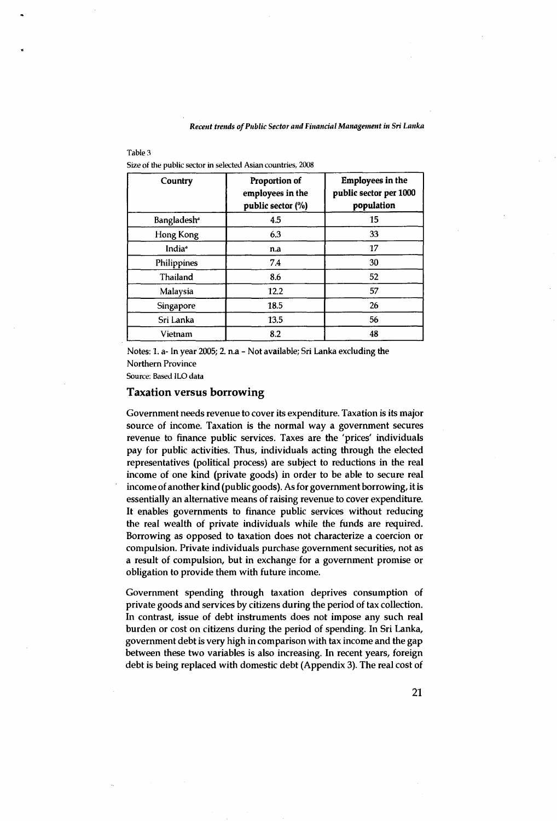| Country                 | Proportion of<br>employees in the<br>public sector (%) | <b>Employees in the</b><br>public sector per 1000<br>population |
|-------------------------|--------------------------------------------------------|-----------------------------------------------------------------|
| Bangladesh <sup>ª</sup> | 4.5                                                    | 15                                                              |
| Hong Kong               | 6.3                                                    | 33                                                              |
| India <sup>®</sup>      | n.a                                                    | 17                                                              |
| Philippines             | 7.4                                                    | 30                                                              |
| Thailand                | 8.6                                                    | 52                                                              |
| Malaysia                | 12.2                                                   | 57                                                              |
| Singapore               | 18.5                                                   | 26                                                              |
| Sri Lanka               | 13.5                                                   | 56                                                              |
| Vietnam                 | 8.2                                                    | 48                                                              |

Size of the public sector in selected Asian countries, 2008

Notes: 1. a- In year 2005; 2. n.a - Not available; Sri Lanka excluding the Northern Province

Source: Based ILO data

Table 3

# **Taxation versus borrowing**

Government needs revenue to cover its expenditure. Taxation is its major source of income. Taxation is the normal way a government secures revenue to finance public services. Taxes are the 'prices' individuals pay for public activities. Thus, individuals acting through the elected representatives (political process) are subject to reductions in the real income of one kind (private goods) in order to be able to secure real income of another kind (public goods). As for government borrowing, it is essentially an alternative means of raising revenue to cover expenditure. It enables governments to finance public services without reducing the real wealth of private individuals while the funds are required. Borrowing as opposed to taxation does not characterize a coercion or compulsion. Private individuals purchase government securities, not as a result of compulsion, but in exchange for a government promise or obligation to provide them with future income.

Government spending through taxation deprives consumption of private goods and services by citizens during the period of tax collection. In contrast, issue of debt instruments does not impose any such real burden or cost on citizens during the period of spending. In Sri Lanka, government debt is very high in comparison with tax income and the gap between these two variables is also increasing. In recent years, foreign debt is being replaced with domestic debt (Appendix 3). The real cost of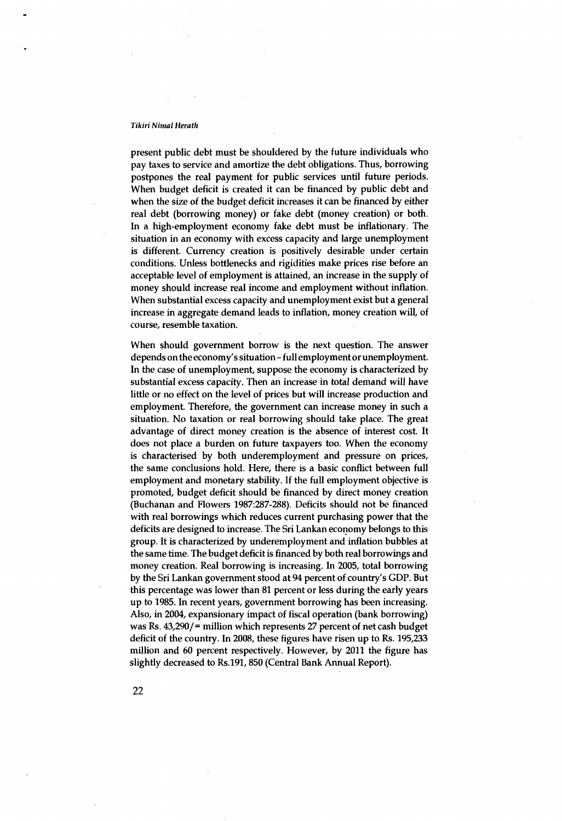present public debt must be shouldered by the future individuals who pay taxes to service and amortize the debt obligations. Thus, borrowing postpones the real payment for public services until future periods. When budget deficit is created it can be financed by public debt and when the size of the budget deficit increases it can be financed by either real debt (borrowing money) or fake debt (money creation) or both. In a high-employment economy fake debt must be inflationary. The situation in an economy with excess capacity and large unemployment is different. Currency creation is positively desirable under certain conditions. Unless bottlenecks and rigidities make prices rise before an acceptable level of employment is attained, an increase in the supply of money should increase real income and employment without inflation. When substantial excess capacity and unemployment exist but a general increase in aggregate demand leads to inflation, money creation will, of course, resemble taxation.

When should government borrow is the next question. The answer depends on the economy's situation - full employment or unemployment. In the case of unemployment, suppose the economy is characterized by substantial excess capacity. Then an increase in total demand will have little or no effect on the level of prices but will increase production and employment. Therefore, the government can increase money in such a situation. No taxation or real borrowing should take place. The great advantage of direct money creation is the absence of interest cost. It does not place a burden on future taxpayers too. When the economy is characterised by both underemployment and pressure on prices, the same conclusions hold. Here, there is a basic conflict between full employment and monetary stability. If the full employment objective is promoted, budget deficit should be financed by direct money creation (Buchanan and Flowers 1987:287-288). Deficits should not be financed with real borrowings which reduces current purchasing power that the deficits are designed to increase. The Sri Lankan economy belongs to this group. It is characterized by underemployment and inflation bubbles at the same time. The budget deficit is financed by both real borrowings and money creation. Real borrowing is increasing. In 2005, total borrowing by the Sri Lankan government stood at 94 percent of country's GDP. But this percentage was lower than 81 percent or less during the early years up to 1985. In recent years, government borrowing has been increasing. Also, in 2004, expansionary impact of fiscal operation (bank borrowing) was Rs. 43,290/= million which represents 27 percent of net cash budget deficit of the country. In 2008, these figures have risen up to Rs. 195,233 million and 60 percent respectively. However, by 2011 the figure has slightly decreased to Rs.191, 850 (Central Bank Annual Report).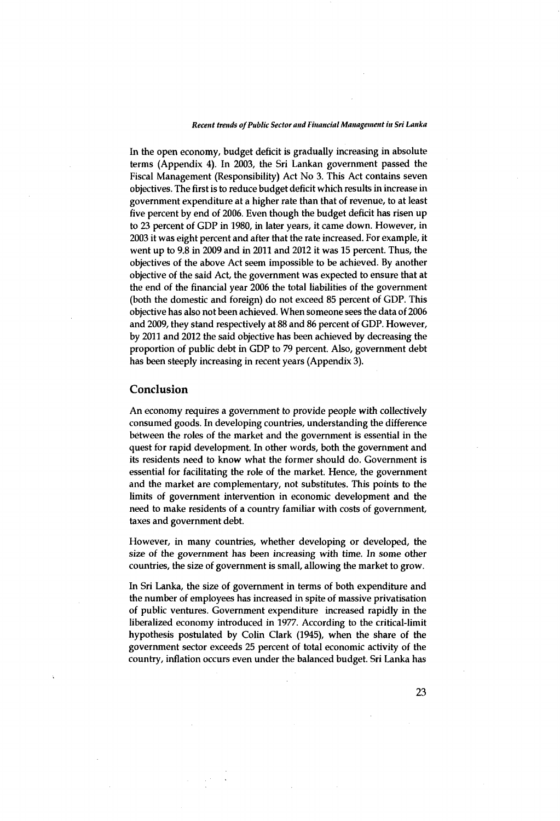In the open economy, budget deficit is gradually increasing in absolute terms (Appendix 4). In 2003, the Sri Lankan government passed the Fiscal Management (Responsibility) Act No 3. This Act contains seven objectives. The first is to reduce budget deficit which results in increase in government expenditure at a higher rate than that of revenue, to at least five percent by end of 2006. Even though the budget deficit has risen up to 23 percent of GDP in 1980, in later years, it came down. However, in 2003 it was eight percent and after that the rate increased. For example, it went up to 9.8 in 2009 and in 2011 and 2012 it was 15 percent. Thus, the objectives of the above Act seem impossible to be achieved. By another objective of the said Act, the government was expected to ensure that at the end of the financial year 2006 the total liabilities of the government (both the domestic and foreign) do not exceed 85 percent of GDP. This objective has also not been achieved. When someone sees the data of 2006 and 2009, they stand respectively at 88 and 86 percent of GDP. However, by 2011 and 2012 the said objective has been achieved by decreasing the proportion of public debt in GDP to 79 percent. Also, government debt has been steeply increasing in recent years (Appendix 3).

# **Conclusion**

An economy requires a government to provide people with collectively consumed goods. In developing countries, understanding the difference between the roles of the market and the government is essential in the quest for rapid development. In other words, both the government and its residents need to know what the former should do. Government is essential for facilitating the role of the market. Hence, the government and the market are complementary, not substitutes. This points to the limits of government intervention in economic development and the need to make residents of a country familiar with costs of government, taxes and government debt.

However, in many countries, whether developing or developed, the size of the government has been increasing with time. In some other countries, the size of government is small, allowing the market to grow.

In Sri Lanka, the size of government in terms of both expenditure and the number of employees has increased in spite of massive privatisation of public ventures. Government expenditure increased rapidly in the liberalized economy introduced in 1977. According to the critical-limit hypothesis postulated by Colin Clark (1945), when the share of the government sector exceeds 25 percent of total economic activity of the country, inflation occurs even under the balanced budget. Sri Lanka has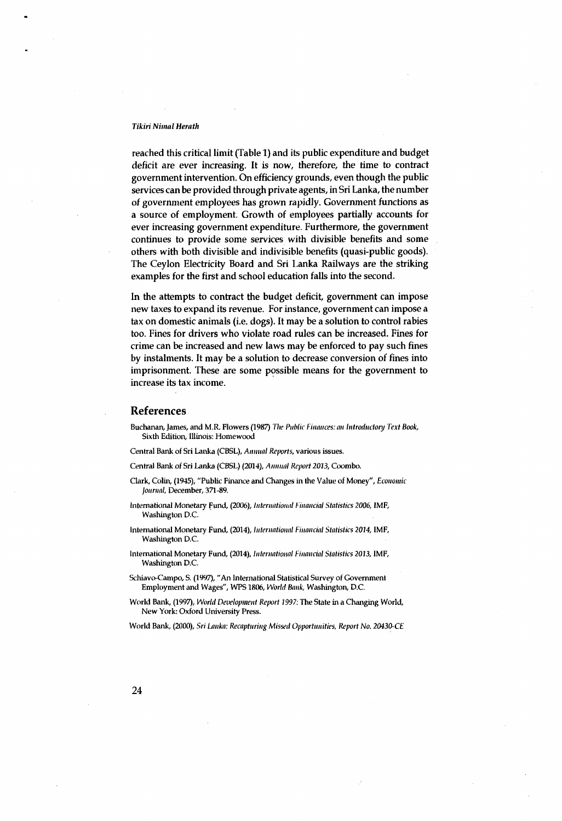reached this critical limit (Table 1) and its public expenditure and budget deficit are ever increasing. It is now, therefore, the time to contract government intervention. On efficiency grounds, even though the public services can be provided through private agents, in Sri Lanka, the number of government employees has grown rapidly. Government functions as a source of employment. Growth of employees partially accounts for ever increasing government expenditure. Furthermore, the government continues to provide some services with divisible benefits and some others with both divisible and indivisible benefits (quasi-public goods). The Ceylon Electricity Board and Sri Lanka Railways are the striking examples for the first and school education falls into the second.

In the attempts to contract the budget deficit, government can impose new taxes to expand its revenue. For instance, government can impose a tax on domestic animals (i.e. dogs). It may be a solution to control rabies too. Fines for drivers who violate road rules can be increased. Fines for crime can be increased and new laws may be enforced to pay such fines by instalments. It may be a solution to decrease conversion of fines into imprisonment. These are some possible means for the government to increase its tax income.

## **References**

Buchanan, James, and M.R. Flowers (1987) *The Public Finances: an Introductory Text Book*, Sixth Edition, Illinois: Homewood

Central Bank of Sri Lanka (CBSL), Annual Reports, various issues.

Central Bank of Sri Lanka (CBSL) (2014), *Annual Report* 2013, Coombo.

- Clark, Colin, (1945), "Public Finance and Changes in the Value of Money", *Economic Journal*, December, 371-89.
- International Monetary Fund, (2006), *International Financial Statistics 2006*, IMF, Washington D.C.
- International Monetary Fund, (2014), *International Financial Statistics 2014*, IMF, Washington D.C.
- International Monetary Fund, (2014), *International Financial Statistics* 2013, IMF, Washington D.C.
- Schiavo-Campo, S. (1997), "An International Statistical Survey of Government Employment and Wages", WPS 1806, *World Bank*, Washington, D.C.
- World Bank, (1997), *World Development Report 1997: The State in a Changing World,* New York: Oxford University Press.

World Bank, (2000), Sri Lauka: Recapturing Missed Opportunities, Report No. 20430-CE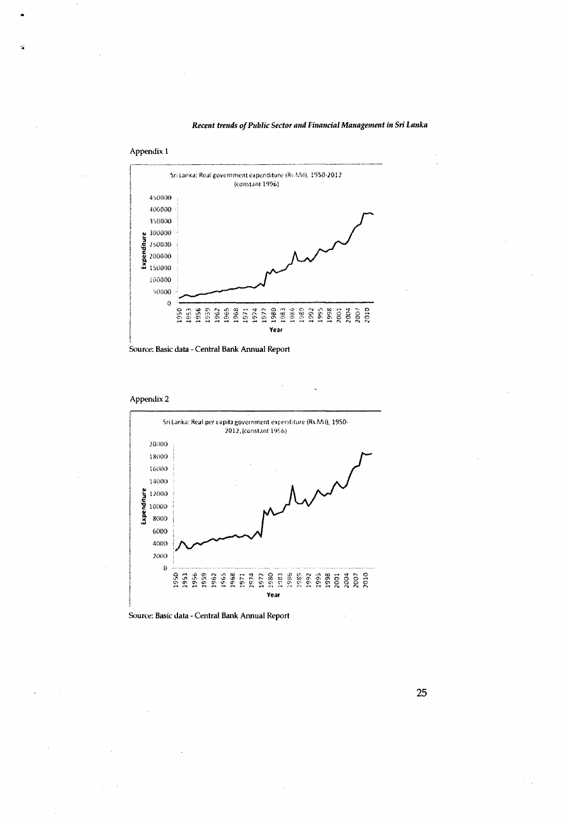

Source: Basic data - Central Bank Annual Report





Source: Basic data - Central Bank Annual Report

25